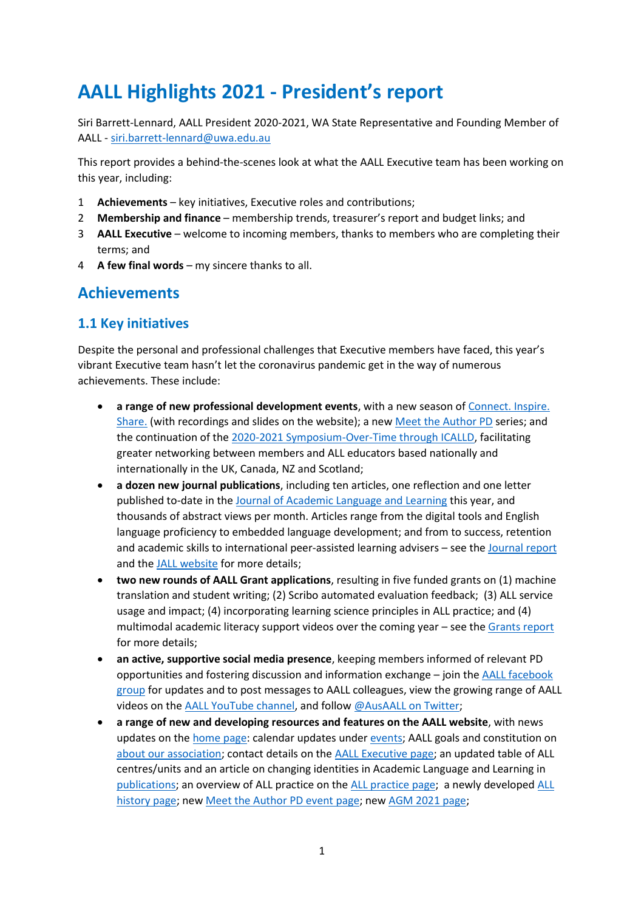# **AALL Highlights 2021 - President's report**

Siri Barrett-Lennard, AALL President 2020-2021, WA State Representative and Founding Member of AALL - [siri.barrett-lennard@uwa.edu.au](mailto:siri.barrett-lennard@uwa.edu.au)

This report provides a behind-the-scenes look at what the AALL Executive team has been working on this year, including:

- 1 **Achievements** key initiatives, Executive roles and contributions;
- 2 **Membership and finance** membership trends, treasurer's report and budget links; and
- 3 **AALL Executive** welcome to incoming members, thanks to members who are completing their terms; and
- 4 **A few final words** my sincere thanks to all.

## **Achievements**

#### **1.1 Key initiatives**

Despite the personal and professional challenges that Executive members have faced, this year's vibrant Executive team hasn't let the coronavirus pandemic get in the way of numerous achievements. These include:

- **a range of new professional development events**, with a new season of [Connect. Inspire.](http://www.aall.org.au/connect-inspire-share-catalogue/)  [Share.](http://www.aall.org.au/connect-inspire-share-catalogue/) (with recordings and slides on the website); a new [Meet the Author PD](https://www.aall.org.au/meet-the-author/) series; and the continuation of the [2020-2021 Symposium-Over-Time through ICALLD,](https://www.aall.org.au/icalld/) facilitating greater networking between members and ALL educators based nationally and internationally in the UK, Canada, NZ and Scotland;
- **a dozen new journal publications**, including ten articles, one reflection and one letter published to-date in the [Journal of Academic Language and Learning](https://journal.aall.org.au/index.php/jall) this year, and thousands of abstract views per month. Articles range from the digital tools and English language proficiency to embedded language development; and from to success, retention and academic skills to international peer-assisted learning advisers – see the [Journal report](https://www.aall.org.au/publications/journal-report-2021/) and th[e JALL website](https://journal.aall.org.au/index.php/jall) for more details;
- **two new rounds of AALL Grant applications**, resulting in five funded grants on (1) machine translation and student writing; (2) Scribo automated evaluation feedback; (3) ALL service usage and impact; (4) incorporating learning science principles in ALL practice; and (4) multimodal academic literacy support videos over the coming year – see the Grants report for more details;
- **an active, supportive social media presence**, keeping members informed of relevant PD opportunities and fostering discussion and information exchange – join th[e AALL facebook](https://www.facebook.com/groups/AusAALL/)  [group](https://www.facebook.com/groups/AusAALL/) for updates and to post messages to AALL colleagues, view the growing range of AALL videos on the [AALL YouTube channel,](https://www.youtube.com/channel/UCYjq1AHotc5dBkA2qwDPCNQ) and follow [@AusAALL on Twitter;](https://twitter.com/AusAALL)
- **a range of new and developing resources and features on the AALL website**, with news updates on the [home page:](https://www.aall.org.au/) calendar updates unde[r events;](https://www.aall.org.au/events/) AALL goals and constitution on [about our association;](https://www.aall.org.au/about-our-association/) contact details on th[e AALL Executive page;](http://www.aall.org.au/aall-executive/) an updated table of ALL centres/units and an article on changing identities in Academic Language and Learning in [publications;](https://www.aall.org.au/resources-publications/) an overview of ALL practice on the [ALL practice page;](https://www.aall.org.au/all-practice/) a newly developed [ALL](https://www.aall.org.au/our-history/)  [history page;](https://www.aall.org.au/our-history/) new [Meet the Author PD event page;](https://www.aall.org.au/meet-the-author/) new [AGM 2021 page;](https://www.aall.org.au/agm-2021/)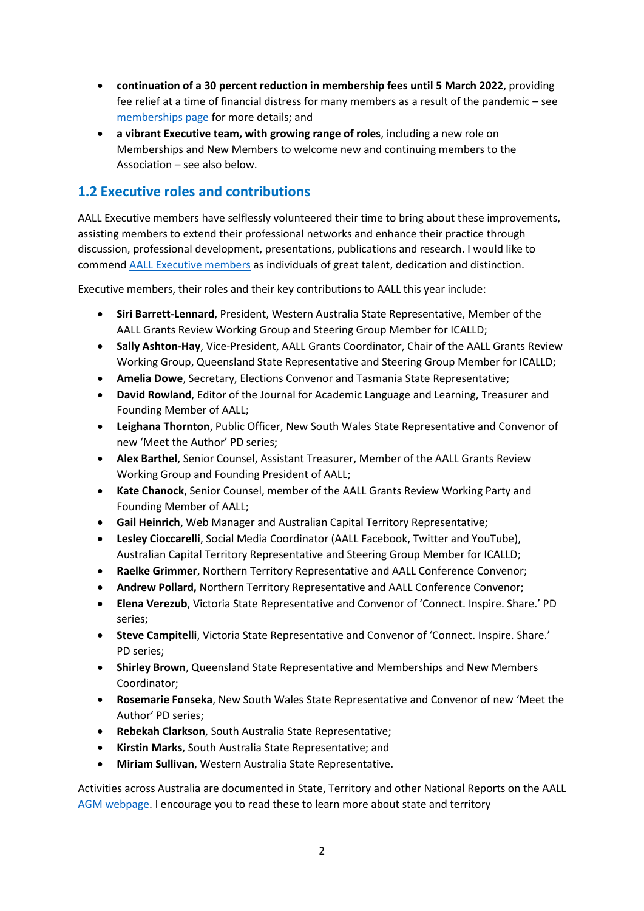- **continuation of a 30 percent reduction in membership fees until 5 March 2022**, providing fee relief at a time of financial distress for many members as a result of the pandemic – see [memberships page](http://aall.org.au/become-a-member/) for more details; and
- **a vibrant Executive team, with growing range of roles**, including a new role on Memberships and New Members to welcome new and continuing members to the Association – see also below.

#### **1.2 Executive roles and contributions**

AALL Executive members have selflessly volunteered their time to bring about these improvements, assisting members to extend their professional networks and enhance their practice through discussion, professional development, presentations, publications and research. I would like to commen[d AALL Executive m](http://www.aall.org.au/aall-executive/)embers as individuals of great talent, dedication and distinction.

Executive members, their roles and their key contributions to AALL this year include:

- **Siri Barrett-Lennard**, President, Western Australia State Representative, Member of the AALL Grants Review Working Group and Steering Group Member for ICALLD;
- **Sally Ashton-Hay**, Vice-President, AALL Grants Coordinator, Chair of the AALL Grants Review Working Group, Queensland State Representative and Steering Group Member for ICALLD;
- **Amelia Dowe**, Secretary, Elections Convenor and Tasmania State Representative;
- **David Rowland**, Editor of the Journal for Academic Language and Learning, Treasurer and Founding Member of AALL;
- **Leighana Thornton**, Public Officer, New South Wales State Representative and Convenor of new 'Meet the Author' PD series;
- **Alex Barthel**, Senior Counsel, Assistant Treasurer, Member of the AALL Grants Review Working Group and Founding President of AALL;
- **Kate Chanock**, Senior Counsel, member of the AALL Grants Review Working Party and Founding Member of AALL;
- **Gail Heinrich**, Web Manager and Australian Capital Territory Representative;
- **Lesley Cioccarelli**, Social Media Coordinator (AALL Facebook, Twitter and YouTube), Australian Capital Territory Representative and Steering Group Member for ICALLD;
- **Raelke Grimmer**, Northern Territory Representative and AALL Conference Convenor;
- **Andrew Pollard,** Northern Territory Representative and AALL Conference Convenor;
- **Elena Verezub**, Victoria State Representative and Convenor of 'Connect. Inspire. Share.' PD series;
- **Steve Campitelli**, Victoria State Representative and Convenor of 'Connect. Inspire. Share.' PD series;
- **Shirley Brown**, Queensland State Representative and Memberships and New Members Coordinator;
- **Rosemarie Fonseka**, New South Wales State Representative and Convenor of new 'Meet the Author' PD series;
- **Rebekah Clarkson**, South Australia State Representative;
- **Kirstin Marks**, South Australia State Representative; and
- **Miriam Sullivan**, Western Australia State Representative.

Activities across Australia are documented in State, Territory and other National Reports on the AALL [AGM webpage.](https://www.aall.org.au/agm-2021/) I encourage you to read these to learn more about state and territory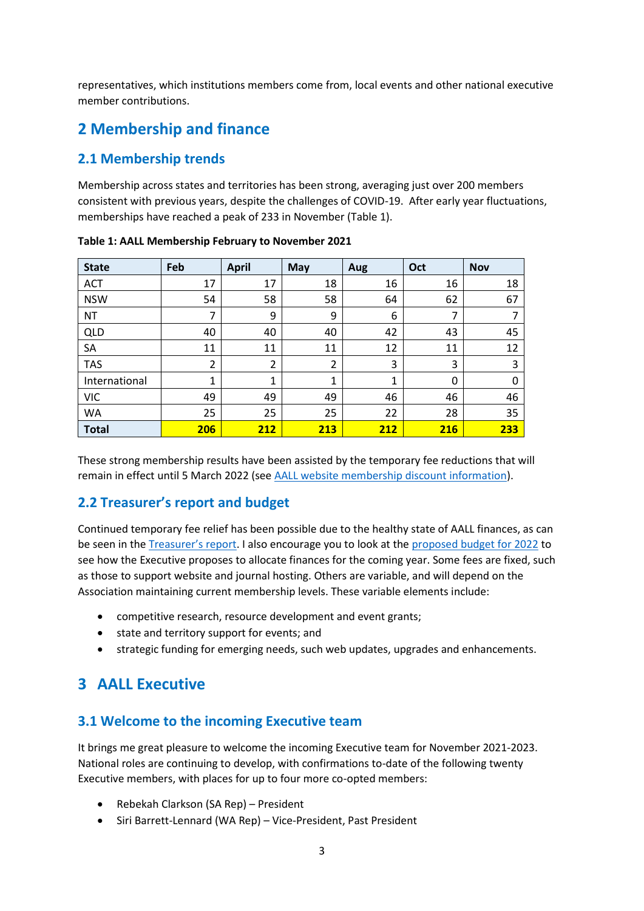representatives, which institutions members come from, local events and other national executive member contributions.

## **2 Membership and finance**

#### **2.1 Membership trends**

Membership across states and territories has been strong, averaging just over 200 members consistent with previous years, despite the challenges of COVID-19. After early year fluctuations, memberships have reached a peak of 233 in November (Table 1).

| <b>State</b>  | Feb            | <b>April</b>   | <b>May</b> | Aug | Oct | <b>Nov</b> |
|---------------|----------------|----------------|------------|-----|-----|------------|
| <b>ACT</b>    | 17             | 17             | 18         | 16  | 16  | 18         |
| <b>NSW</b>    | 54             | 58             | 58         | 64  | 62  | 67         |
| <b>NT</b>     | 7              | 9              | 9          | 6   | 7   | 7          |
| <b>QLD</b>    | 40             | 40             | 40         | 42  | 43  | 45         |
| <b>SA</b>     | 11             | 11             | 11         | 12  | 11  | 12         |
| <b>TAS</b>    | $\overline{2}$ | $\overline{2}$ | 2          | 3   | 3   | 3          |
| International | 1              | 1              | 1          | 1   | 0   | 0          |
| <b>VIC</b>    | 49             | 49             | 49         | 46  | 46  | 46         |
| WA            | 25             | 25             | 25         | 22  | 28  | 35         |
| <b>Total</b>  | <b>206</b>     | 212            | 213        | 212 | 216 | 233        |

**Table 1: AALL Membership February to November 2021**

These strong membership results have been assisted by the temporary fee reductions that will remain in effect until 5 March 2022 (se[e AALL website membership discount information\)](http://www.aall.org.au/2020/10/16/membership-discounts/).

## **2.2 Treasurer's report and budget**

Continued temporary fee relief has been possible due to the healthy state of AALL finances, as can be seen in th[e Treasurer](https://www.aall.org.au/publications/2020-treasurers-report/)'s report. I also encourage you to look at th[e proposed budget for 2022](https://www.aall.org.au/publications/aall-budget-2022/) to see how the Executive proposes to allocate finances for the coming year. Some fees are fixed, such as those to support website and journal hosting. Others are variable, and will depend on the Association maintaining current membership levels. These variable elements include:

- competitive research, resource development and event grants;
- state and territory support for events; and
- strategic funding for emerging needs, such web updates, upgrades and enhancements.

## **3 AALL Executive**

#### **3.1 Welcome to the incoming Executive team**

It brings me great pleasure to welcome the incoming Executive team for November 2021-2023. National roles are continuing to develop, with confirmations to-date of the following twenty Executive members, with places for up to four more co-opted members:

- Rebekah Clarkson (SA Rep) President
- Siri Barrett-Lennard (WA Rep) Vice-President, Past President